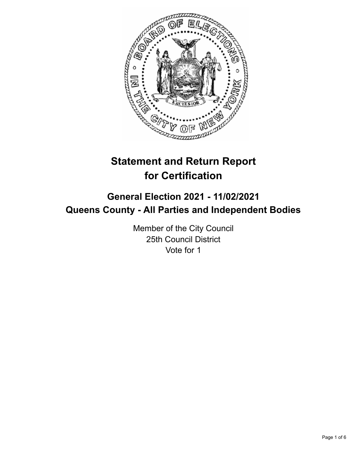

# **Statement and Return Report for Certification**

## **General Election 2021 - 11/02/2021 Queens County - All Parties and Independent Bodies**

Member of the City Council 25th Council District Vote for 1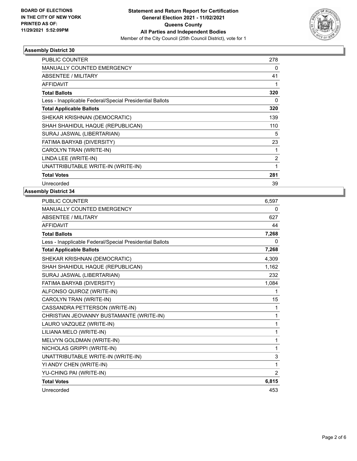

#### **Assembly District 30**

| PUBLIC COUNTER                                           | 278            |
|----------------------------------------------------------|----------------|
| <b>MANUALLY COUNTED EMERGENCY</b>                        | 0              |
| ABSENTEE / MILITARY                                      | 41             |
| <b>AFFIDAVIT</b>                                         |                |
| <b>Total Ballots</b>                                     | 320            |
| Less - Inapplicable Federal/Special Presidential Ballots | 0              |
| <b>Total Applicable Ballots</b>                          | 320            |
| SHEKAR KRISHNAN (DEMOCRATIC)                             | 139            |
| SHAH SHAHIDUL HAQUE (REPUBLICAN)                         | 110            |
| SURAJ JASWAL (LIBERTARIAN)                               | 5              |
| FATIMA BARYAB (DIVERSITY)                                | 23             |
| CAROLYN TRAN (WRITE-IN)                                  | 1              |
| LINDA LEE (WRITE-IN)                                     | $\overline{2}$ |
| UNATTRIBUTABLE WRITE-IN (WRITE-IN)                       | 1              |
| <b>Total Votes</b>                                       | 281            |
| Unrecorded                                               | 39             |

#### **Assembly District 34**

| <b>PUBLIC COUNTER</b>                                    | 6,597 |
|----------------------------------------------------------|-------|
| <b>MANUALLY COUNTED EMERGENCY</b>                        | 0     |
| <b>ABSENTEE / MILITARY</b>                               | 627   |
| <b>AFFIDAVIT</b>                                         | 44    |
| <b>Total Ballots</b>                                     | 7,268 |
| Less - Inapplicable Federal/Special Presidential Ballots | 0     |
| <b>Total Applicable Ballots</b>                          | 7,268 |
| SHEKAR KRISHNAN (DEMOCRATIC)                             | 4,309 |
| SHAH SHAHIDUL HAQUE (REPUBLICAN)                         | 1,162 |
| SURAJ JASWAL (LIBERTARIAN)                               | 232   |
| FATIMA BARYAB (DIVERSITY)                                | 1,084 |
| ALFONSO QUIROZ (WRITE-IN)                                | 1     |
| CAROLYN TRAN (WRITE-IN)                                  | 15    |
| CASSANDRA PETTERSON (WRITE-IN)                           | 1     |
| CHRISTIAN JEOVANNY BUSTAMANTE (WRITE-IN)                 | 1     |
| LAURO VAZQUEZ (WRITE-IN)                                 | 1     |
| LILIANA MELO (WRITE-IN)                                  | 1     |
| MELVYN GOLDMAN (WRITE-IN)                                | 1     |
| NICHOLAS GRIPPI (WRITE-IN)                               | 1     |
| UNATTRIBUTABLE WRITE-IN (WRITE-IN)                       | 3     |
| YI ANDY CHEN (WRITE-IN)                                  | 1     |
| YU-CHING PAI (WRITE-IN)                                  | 2     |
| <b>Total Votes</b>                                       | 6,815 |
| Unrecorded                                               | 453   |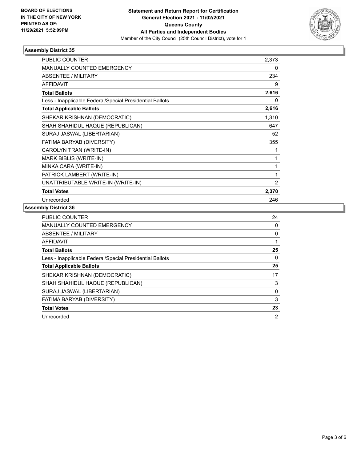

#### **Assembly District 35**

| PUBLIC COUNTER                                           | 2,373          |
|----------------------------------------------------------|----------------|
| MANUALLY COUNTED EMERGENCY                               | 0              |
| ABSENTEE / MILITARY                                      | 234            |
| <b>AFFIDAVIT</b>                                         | 9              |
| <b>Total Ballots</b>                                     | 2,616          |
| Less - Inapplicable Federal/Special Presidential Ballots | 0              |
| <b>Total Applicable Ballots</b>                          | 2,616          |
| SHEKAR KRISHNAN (DEMOCRATIC)                             | 1,310          |
| SHAH SHAHIDUL HAQUE (REPUBLICAN)                         | 647            |
| SURAJ JASWAL (LIBERTARIAN)                               | 52             |
| FATIMA BARYAB (DIVERSITY)                                | 355            |
| CAROLYN TRAN (WRITE-IN)                                  | 1              |
| MARK BIBLIS (WRITE-IN)                                   | 1              |
| MINKA CARA (WRITE-IN)                                    | 1              |
| PATRICK LAMBERT (WRITE-IN)                               | 1              |
| UNATTRIBUTABLE WRITE-IN (WRITE-IN)                       | $\overline{2}$ |
| <b>Total Votes</b>                                       | 2,370          |
| Unrecorded                                               | 246            |

### **Assembly District 36**

| PUBLIC COUNTER                                           | 24             |
|----------------------------------------------------------|----------------|
| <b>MANUALLY COUNTED EMERGENCY</b>                        | 0              |
| ABSENTEE / MILITARY                                      | 0              |
| <b>AFFIDAVIT</b>                                         |                |
| <b>Total Ballots</b>                                     | 25             |
| Less - Inapplicable Federal/Special Presidential Ballots | 0              |
| <b>Total Applicable Ballots</b>                          | 25             |
| SHEKAR KRISHNAN (DEMOCRATIC)                             | 17             |
| SHAH SHAHIDUL HAQUE (REPUBLICAN)                         | 3              |
| SURAJ JASWAL (LIBERTARIAN)                               | 0              |
| FATIMA BARYAB (DIVERSITY)                                | 3              |
| <b>Total Votes</b>                                       | 23             |
| Unrecorded                                               | $\overline{2}$ |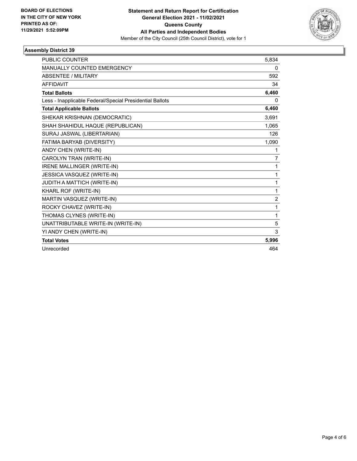

#### **Assembly District 39**

| <b>PUBLIC COUNTER</b>                                    | 5,834          |
|----------------------------------------------------------|----------------|
| MANUALLY COUNTED EMERGENCY                               | 0              |
| ABSENTEE / MILITARY                                      | 592            |
| <b>AFFIDAVIT</b>                                         | 34             |
| <b>Total Ballots</b>                                     | 6,460          |
| Less - Inapplicable Federal/Special Presidential Ballots | 0              |
| <b>Total Applicable Ballots</b>                          | 6,460          |
| SHEKAR KRISHNAN (DEMOCRATIC)                             | 3.691          |
| SHAH SHAHIDUL HAQUE (REPUBLICAN)                         | 1,065          |
| SURAJ JASWAL (LIBERTARIAN)                               | 126            |
| FATIMA BARYAB (DIVERSITY)                                | 1,090          |
| ANDY CHEN (WRITE-IN)                                     | 1              |
| CAROLYN TRAN (WRITE-IN)                                  | 7              |
| IRENE MALLINGER (WRITE-IN)                               | 1              |
| JESSICA VASQUEZ (WRITE-IN)                               | 1              |
| JUDITH A MATTICH (WRITE-IN)                              | 1              |
| KHARL ROF (WRITE-IN)                                     | 1              |
| MARTIN VASQUEZ (WRITE-IN)                                | $\overline{2}$ |
| ROCKY CHAVEZ (WRITE-IN)                                  | 1              |
| THOMAS CLYNES (WRITE-IN)                                 | 1              |
| UNATTRIBUTABLE WRITE-IN (WRITE-IN)                       | 5              |
| YI ANDY CHEN (WRITE-IN)                                  | 3              |
| <b>Total Votes</b>                                       | 5,996          |
| Unrecorded                                               | 464            |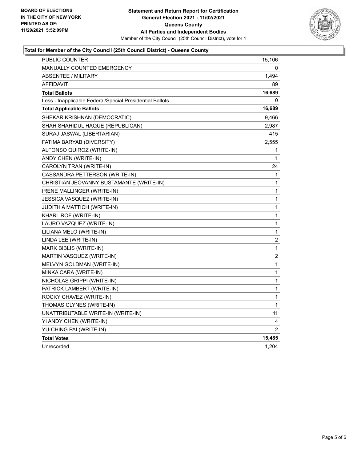

#### **Total for Member of the City Council (25th Council District) - Queens County**

| PUBLIC COUNTER                                           | 15,106           |
|----------------------------------------------------------|------------------|
| <b>MANUALLY COUNTED EMERGENCY</b>                        | 0                |
| <b>ABSENTEE / MILITARY</b>                               | 1,494            |
| AFFIDAVIT                                                | 89               |
| <b>Total Ballots</b>                                     | 16,689           |
| Less - Inapplicable Federal/Special Presidential Ballots | 0                |
| <b>Total Applicable Ballots</b>                          | 16,689           |
| SHEKAR KRISHNAN (DEMOCRATIC)                             | 9,466            |
| SHAH SHAHIDUL HAQUE (REPUBLICAN)                         | 2,987            |
| SURAJ JASWAL (LIBERTARIAN)                               | 415              |
| FATIMA BARYAB (DIVERSITY)                                | 2,555            |
| ALFONSO QUIROZ (WRITE-IN)                                | 1                |
| ANDY CHEN (WRITE-IN)                                     | 1                |
| CAROLYN TRAN (WRITE-IN)                                  | 24               |
| CASSANDRA PETTERSON (WRITE-IN)                           | 1                |
| CHRISTIAN JEOVANNY BUSTAMANTE (WRITE-IN)                 | 1                |
| IRENE MALLINGER (WRITE-IN)                               | 1                |
| JESSICA VASQUEZ (WRITE-IN)                               | 1                |
| JUDITH A MATTICH (WRITE-IN)                              | 1                |
| KHARL ROF (WRITE-IN)                                     | 1                |
| LAURO VAZQUEZ (WRITE-IN)                                 | 1                |
| LILIANA MELO (WRITE-IN)                                  | 1                |
| LINDA LEE (WRITE-IN)                                     | $\boldsymbol{2}$ |
| MARK BIBLIS (WRITE-IN)                                   | 1                |
| MARTIN VASQUEZ (WRITE-IN)                                | $\boldsymbol{2}$ |
| MELVYN GOLDMAN (WRITE-IN)                                | 1                |
| MINKA CARA (WRITE-IN)                                    | 1                |
| NICHOLAS GRIPPI (WRITE-IN)                               | 1                |
| PATRICK LAMBERT (WRITE-IN)                               | 1                |
| ROCKY CHAVEZ (WRITE-IN)                                  | 1                |
| THOMAS CLYNES (WRITE-IN)                                 | $\mathbf{1}$     |
| UNATTRIBUTABLE WRITE-IN (WRITE-IN)                       | 11               |
| YI ANDY CHEN (WRITE-IN)                                  | 4                |
| YU-CHING PAI (WRITE-IN)                                  | $\overline{2}$   |
| <b>Total Votes</b>                                       | 15,485           |
| Unrecorded                                               | 1,204            |